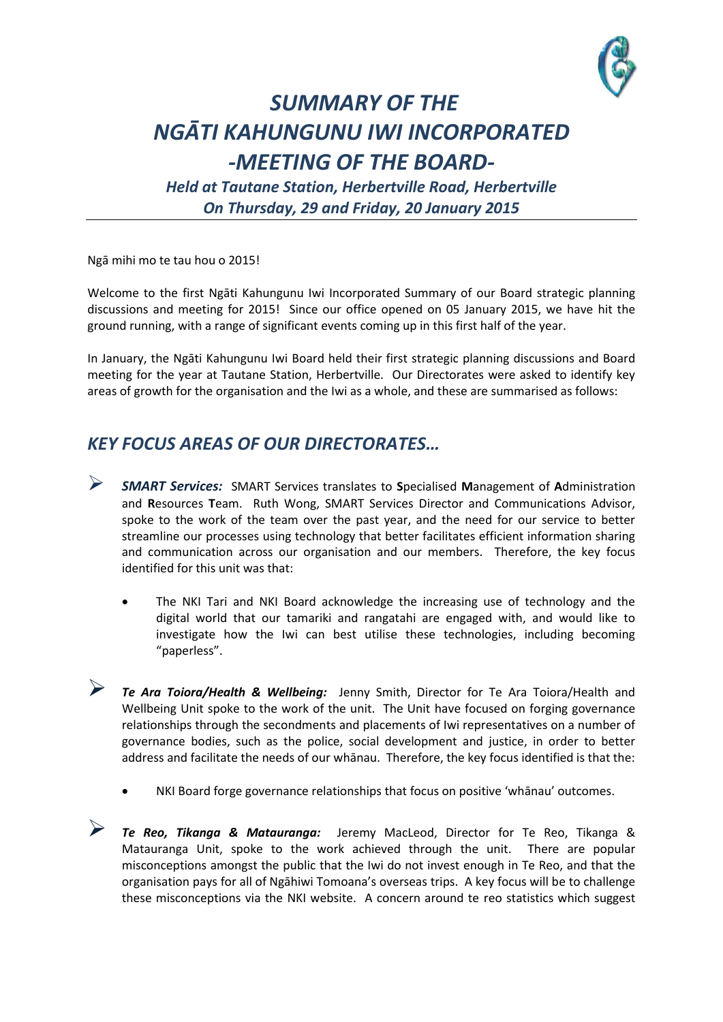

## *SUMMARY OF THE NGĀTI KAHUNGUNU IWI INCORPORATED -MEETING OF THE BOARD-*

*Held at Tautane Station, Herbertville Road, Herbertville On Thursday, 29 and Friday, 20 January 2015*

Ngā mihi mo te tau hou o 2015!

Welcome to the first Ngāti Kahungunu Iwi Incorporated Summary of our Board strategic planning discussions and meeting for 2015! Since our office opened on 05 January 2015, we have hit the ground running, with a range of significant events coming up in this first half of the year.

In January, the Ngāti Kahungunu Iwi Board held their first strategic planning discussions and Board meeting for the year at Tautane Station, Herbertville. Our Directorates were asked to identify key areas of growth for the organisation and the Iwi as a whole, and these are summarised as follows:

## *KEY FOCUS AREAS OF OUR DIRECTORATES…*

- *SMART Services:* SMART Services translates to **S**pecialised **M**anagement of **A**dministration and **R**esources **T**eam. Ruth Wong, SMART Services Director and Communications Advisor, spoke to the work of the team over the past year, and the need for our service to better streamline our processes using technology that better facilitates efficient information sharing and communication across our organisation and our members. Therefore, the key focus identified for this unit was that:
	- The NKI Tari and NKI Board acknowledge the increasing use of technology and the digital world that our tamariki and rangatahi are engaged with, and would like to investigate how the Iwi can best utilise these technologies, including becoming "paperless".
- *Te Ara Toiora/Health & Wellbeing:* Jenny Smith, Director for Te Ara Toiora/Health and Wellbeing Unit spoke to the work of the unit. The Unit have focused on forging governance relationships through the secondments and placements of Iwi representatives on a number of governance bodies, such as the police, social development and justice, in order to better address and facilitate the needs of our whānau. Therefore, the key focus identified is that the:
	- NKI Board forge governance relationships that focus on positive 'whānau' outcomes.

 *Te Reo, Tikanga & Matauranga:* Jeremy MacLeod, Director for Te Reo, Tikanga & Matauranga Unit, spoke to the work achieved through the unit. There are popular misconceptions amongst the public that the Iwi do not invest enough in Te Reo, and that the organisation pays for all of Ngāhiwi Tomoana's overseas trips. A key focus will be to challenge these misconceptions via the NKI website. A concern around te reo statistics which suggest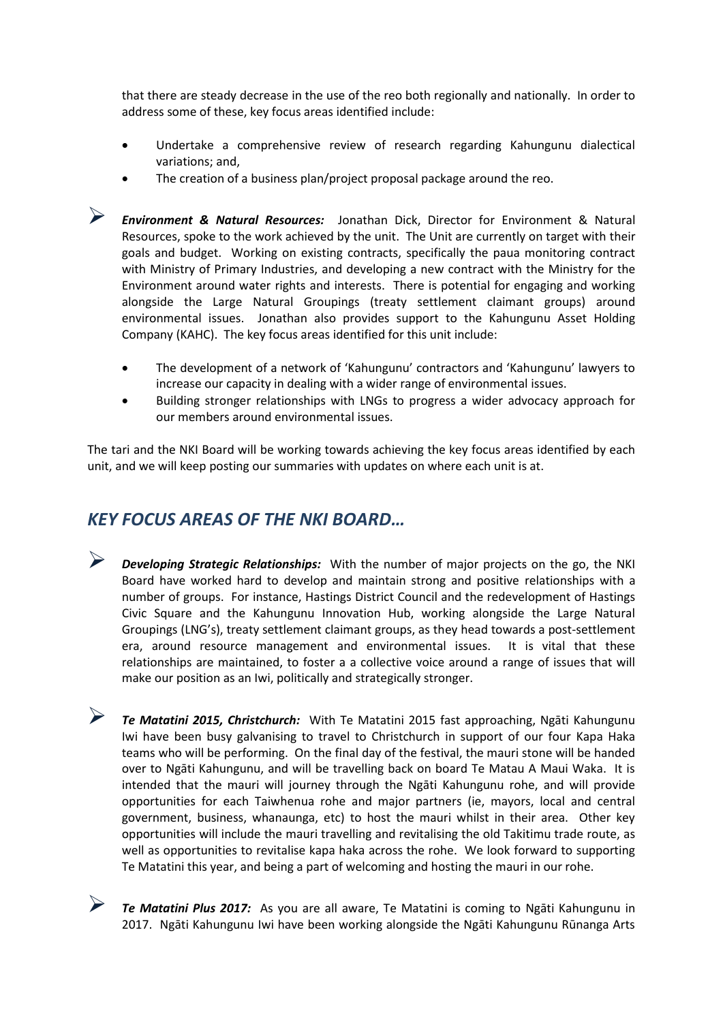that there are steady decrease in the use of the reo both regionally and nationally. In order to address some of these, key focus areas identified include:

- Undertake a comprehensive review of research regarding Kahungunu dialectical variations; and,
- The creation of a business plan/project proposal package around the reo.

 *Environment & Natural Resources:* Jonathan Dick, Director for Environment & Natural Resources, spoke to the work achieved by the unit. The Unit are currently on target with their goals and budget. Working on existing contracts, specifically the paua monitoring contract with Ministry of Primary Industries, and developing a new contract with the Ministry for the Environment around water rights and interests. There is potential for engaging and working alongside the Large Natural Groupings (treaty settlement claimant groups) around environmental issues. Jonathan also provides support to the Kahungunu Asset Holding Company (KAHC). The key focus areas identified for this unit include:

- The development of a network of 'Kahungunu' contractors and 'Kahungunu' lawyers to increase our capacity in dealing with a wider range of environmental issues.
- Building stronger relationships with LNGs to progress a wider advocacy approach for our members around environmental issues.

The tari and the NKI Board will be working towards achieving the key focus areas identified by each unit, and we will keep posting our summaries with updates on where each unit is at.

## *KEY FOCUS AREAS OF THE NKI BOARD…*

 *Developing Strategic Relationships:* With the number of major projects on the go, the NKI Board have worked hard to develop and maintain strong and positive relationships with a number of groups. For instance, Hastings District Council and the redevelopment of Hastings Civic Square and the Kahungunu Innovation Hub, working alongside the Large Natural Groupings (LNG's), treaty settlement claimant groups, as they head towards a post-settlement era, around resource management and environmental issues. It is vital that these relationships are maintained, to foster a a collective voice around a range of issues that will make our position as an Iwi, politically and strategically stronger.

 *Te Matatini 2015, Christchurch:* With Te Matatini 2015 fast approaching, Ngāti Kahungunu Iwi have been busy galvanising to travel to Christchurch in support of our four Kapa Haka teams who will be performing. On the final day of the festival, the mauri stone will be handed over to Ngāti Kahungunu, and will be travelling back on board Te Matau A Maui Waka. It is intended that the mauri will journey through the Ngāti Kahungunu rohe, and will provide opportunities for each Taiwhenua rohe and major partners (ie, mayors, local and central government, business, whanaunga, etc) to host the mauri whilst in their area. Other key opportunities will include the mauri travelling and revitalising the old Takitimu trade route, as well as opportunities to revitalise kapa haka across the rohe. We look forward to supporting Te Matatini this year, and being a part of welcoming and hosting the mauri in our rohe.

 *Te Matatini Plus 2017:* As you are all aware, Te Matatini is coming to Ngāti Kahungunu in 2017. Ngāti Kahungunu Iwi have been working alongside the Ngāti Kahungunu Rūnanga Arts